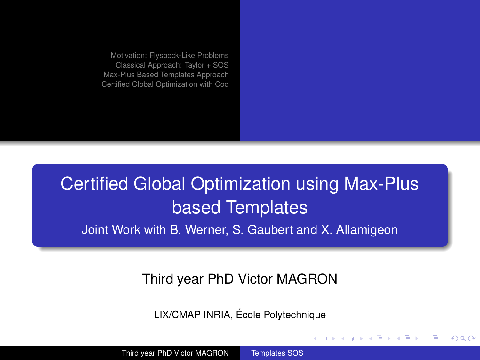# Certified Global Optimization using Max-Plus based Templates

Joint Work with B. Werner, S. Gaubert and X. Allamigeon

#### Third year PhD Victor MAGRON

LIX/CMAP INRIA, École Polytechnique

イロト イ母 トイヨ トイヨト

<span id="page-0-0"></span> $\Omega$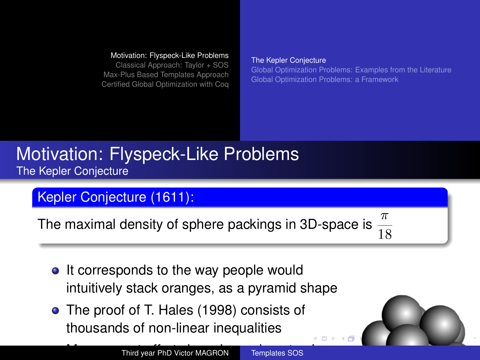[Classical Approach: Taylor + SOS](#page-6-0) [Max-Plus Based Templates Approach](#page-11-0) [Certified Global Optimization with Coq](#page-35-0)

#### [The Kepler Conjecture](#page-1-0)

[Global Optimization Problems: Examples from the Literature](#page-4-0) [Global Optimization Problems: a Framework](#page-5-0)

# [Motivation: Flyspeck-Like Problems](#page-1-0) [The Kepler Conjecture](#page-1-0)

# Kepler Conjecture (1611):

The maximal density of sphere packings in 3D-space is

 $\overline{18}$ 

- It corresponds to the way people would intuitively stack oranges, as a pyramid shape
- The proof of T. Hales (1998) consists of thousands of non-linear inequalities

<span id="page-1-0"></span>4 D F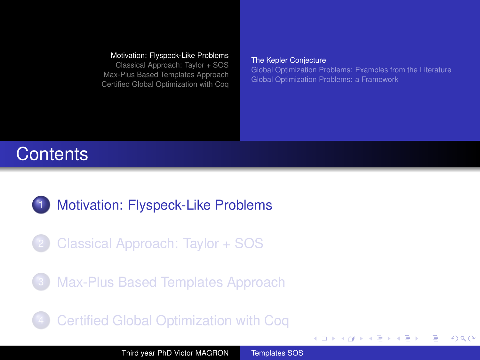[Classical Approach: Taylor + SOS](#page-6-0) [Max-Plus Based Templates Approach](#page-11-0) [Certified Global Optimization with Coq](#page-35-0)

#### [The Kepler Conjecture](#page-1-0)

[Global Optimization Problems: Examples from the Literature](#page-4-0) [Global Optimization Problems: a Framework](#page-5-0)

**K ロ ト K 何 ト K ヨ ト K ヨ** 

<span id="page-2-0"></span> $\Omega$ 

# **Contents**

- [Motivation: Flyspeck-Like Problems](#page-1-0)
- 2 [Classical Approach: Taylor + SOS](#page-6-0)
- [Max-Plus Based Templates Approach](#page-11-0)
	- 4 [Certified Global Optimization with Coq](#page-35-0)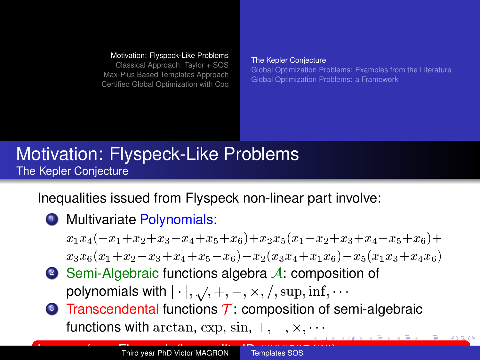[Classical Approach: Taylor + SOS](#page-6-0) [Max-Plus Based Templates Approach](#page-11-0) [Certified Global Optimization with Coq](#page-35-0)

#### [The Kepler Conjecture](#page-1-0)

<span id="page-3-0"></span>[Global Optimization Problems: Examples from the Literature](#page-4-0) [Global Optimization Problems: a Framework](#page-5-0)

# [Motivation: Flyspeck-Like Problems](#page-1-0) [The Kepler Conjecture](#page-1-0)

Inequalities issued from Flyspeck non-linear part involve:

**1** Multivariate Polynomials:

 $x_1x_4(-x_1+x_2+x_3-x_4+x_5+x_6)+x_2x_5(x_1-x_2+x_3+x_4-x_5+x_6)+$  $x_3x_6(x_1+x_2-x_3+x_4+x_5-x_6)-x_2(x_3x_4+x_1x_6)-x_5(x_1x_3+x_4x_6)$ 

- 2 Semi-Algebraic functions algebra  $A$ : composition of polynomials with  $|\cdot|$ ,  $\sqrt{$ ,  $+$ ,  $-$ ,  $\times$ ,  $/$ ,  $\sup$ ,  $\inf$ ,  $\cdots$
- $\bullet$  Transcendental functions T: composition of semi-algebraic functionswith  $\arctan$ ,  $\exp$ ,  $\sin$ ,  $+$ ,  $-$ ,  $\times$ , $\cdots$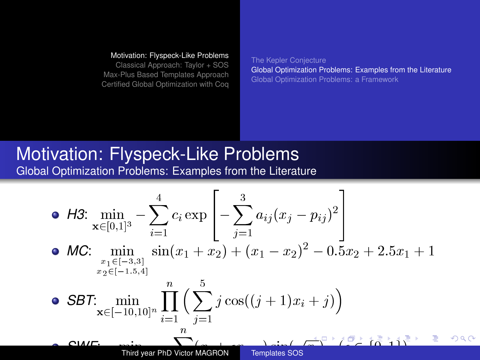[Classical Approach: Taylor + SOS](#page-6-0) [Max-Plus Based Templates Approach](#page-11-0) [Certified Global Optimization with Coq](#page-35-0) <span id="page-4-0"></span>[The Kepler Conjecture](#page-1-0) [Global Optimization Problems: Examples from the Literature](#page-4-0) [Global Optimization Problems: a Framework](#page-5-0)

#### [Motivation: Flyspeck-Like Problems](#page-1-0) [Global Optimization Problems: Examples from the Literature](#page-4-0)

• H3: 
$$
\min_{\mathbf{x} \in [0,1]^3} - \sum_{i=1}^4 c_i \exp \left[ - \sum_{j=1}^3 a_{ij} (x_j - p_{ij})^2 \right]
$$
  
\n• MC: 
$$
\min_{\substack{x_1 \in [-3,3] \\ x_2 \in [-1.5,4]}} \sin(x_1 + x_2) + (x_1 - x_2)^2 - 0.5x_2 + 2.5x_1 + 1
$$
  
\n• SBT: 
$$
\min_{\mathbf{x} \in [-10,10]^n} \prod_{i=1}^n \left( \sum_{j=1}^5 j \cos((j+1)x_i + j) \right)
$$
  
\n• CME: 
$$
\min_{\text{Third year PhD Victor MAGRON}} \sum_{\text{Templates SOS}} \sin(\pi \sqrt{2} + i \sqrt{2} + i \sqrt{2} + i \sqrt{2} + i \sqrt{2} + i \sqrt{2} + i \sqrt{2} + i \sqrt{2} + i \sqrt{2} + i \sqrt{2} + i \sqrt{2} + i \sqrt{2} + i \sqrt{2} + i \sqrt{2} + i \sqrt{2} + i \sqrt{2} + i \sqrt{2} + i \sqrt{2} + i \sqrt{2} + i \sqrt{2} + i \sqrt{2} + i \sqrt{2} + i \sqrt{2} + i \sqrt{2} + i \sqrt{2} + i \sqrt{2} + i \sqrt{2} + i \sqrt{2} + i \sqrt{2} + i \sqrt{2} + i \sqrt{2} + i \sqrt{2} + i \sqrt{2} + i \sqrt{2} + i \sqrt{2} + i \sqrt{2} + i \sqrt{2} + i \sqrt{2} + i \sqrt{2} + i \sqrt{2} + i \sqrt{2} + i \sqrt{2} + i \sqrt{2} + i \sqrt{2} + i \sqrt{2} + i \sqrt{2} + i \sqrt{2} + i \sqrt{2} + i \sqrt{2} + i \sqrt{2} + i \sqrt{2} + i \sqrt{2} + i \sqrt{2} + i \sqrt{2} + i \sqrt{2} + i \sqrt{2} + i \sqrt{2} + i \sqrt{2} + i \sqrt{2} + i \sqrt{2} + i \sqrt{2} + i \sqrt{2} + i \sqrt{2} + i \sqrt{2} + i \sqrt{2} + i \sqrt{2} + i \sqrt{2} + i \sqrt{2} + i \sqrt{2} + i \sqrt{2} + i \sqrt{2} + i \sqrt
$$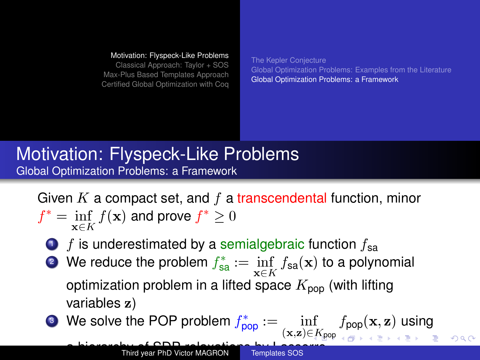[Classical Approach: Taylor + SOS](#page-6-0) [Max-Plus Based Templates Approach](#page-11-0) [Certified Global Optimization with Coq](#page-35-0) <span id="page-5-0"></span>[The Kepler Conjecture](#page-1-0) [Global Optimization Problems: Examples from the Literature](#page-4-0) [Global Optimization Problems: a Framework](#page-5-0)

# [Motivation: Flyspeck-Like Problems](#page-1-0) [Global Optimization Problems: a Framework](#page-5-0)

Given K a compact set, and  $f$  a transcendental function, minor

$$
f^* = \inf_{\mathbf{x} \in K} f(\mathbf{x}) \text{ and prove } f^* \ge 0
$$

- $\bullet$  f is underestimated by a semialgebraic function  $f_{\rm{sa}}$
- **2** We reduce the problem  $f_{\text{sa}}^* := \inf_{\mathbf{x} \in K} f_{\text{sa}}(\mathbf{x})$  to a polynomial optimization problem in a lifted space  $K_{\text{pop}}$  (with lifting variables z)
- **3** We solve the POP problem  $f_{\text{pop}}^* := \inf_{(\mathbf{x},\mathbf{z}) \in K_{\text{pop}}} f_{\text{pop}}(\mathbf{x},\mathbf{z})$  $f_{\text{pop}}^* := \inf_{(\mathbf{x},\mathbf{z}) \in K_{\text{pop}}} f_{\text{pop}}(\mathbf{x},\mathbf{z})$  $f_{\text{pop}}^* := \inf_{(\mathbf{x},\mathbf{z}) \in K_{\text{pop}}} f_{\text{pop}}(\mathbf{x},\mathbf{z})$  using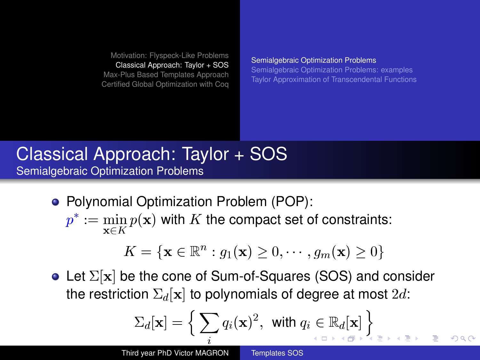[Motivation: Flyspeck-Like Problems](#page-1-0) [Classical Approach: Taylor + SOS](#page-6-0)

[Max-Plus Based Templates Approach](#page-11-0) [Certified Global Optimization with Coq](#page-35-0) [Semialgebraic Optimization Problems](#page-6-0)

[Semialgebraic Optimization Problems: examples](#page-8-0) [Taylor Approximation of Transcendental Functions](#page-10-0)

<span id="page-6-0"></span> $\Omega$ 

# [Classical Approach: Taylor + SOS](#page-6-0) [Semialgebraic Optimization Problems](#page-6-0)

- Polynomial Optimization Problem (POP):
	- $p^* := \min_{\mathbf{x} \in K} p(\mathbf{x})$  with  $K$  the compact set of constraints:

$$
K = \{ \mathbf{x} \in \mathbb{R}^n : g_1(\mathbf{x}) \ge 0, \cdots, g_m(\mathbf{x}) \ge 0 \}
$$

• Let  $\Sigma[\mathbf{x}]$  be the cone of Sum-of-Squares (SOS) and consider the restriction  $\Sigma_d[x]$  to polynomials of degree at most  $2d$ :

$$
\Sigma_d[{\bf x}]=\Big\{\sum_i q_i({\bf x})^2,\,\,\text{with}\,\,q_i\in\mathbb{R}_d[{\bf x}]\Big\}_{{\scriptscriptstyle{A\subset\mathbb{D}^+}}\times\mathbb{R}^+\times\mathbb{R}^+\times\mathbb{R}^+}
$$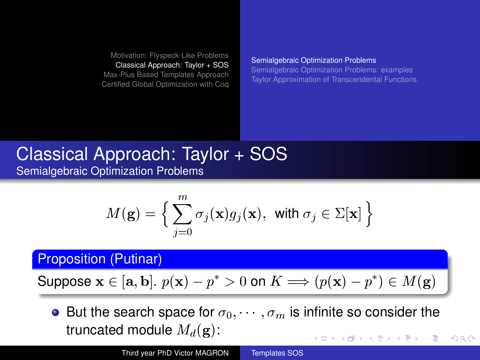[Motivation: Flyspeck-Like Problems](#page-1-0) [Classical Approach: Taylor + SOS](#page-6-0)

[Max-Plus Based Templates Approach](#page-11-0) [Certified Global Optimization with Coq](#page-35-0) [Semialgebraic Optimization Problems](#page-6-0)

[Semialgebraic Optimization Problems: examples](#page-8-0) [Taylor Approximation of Transcendental Functions](#page-10-0)

<span id="page-7-0"></span> $\Omega$ 

# [Classical Approach: Taylor + SOS](#page-6-0) [Semialgebraic Optimization Problems](#page-6-0)

$$
M(\mathbf{g}) = \Big\{\sum_{j=0}^{m} \sigma_j(\mathbf{x}) g_j(\mathbf{x}), \text{ with } \sigma_j \in \Sigma[\mathbf{x}] \Big\}
$$

#### Proposition (Putinar)

Suppose 
$$
\mathbf{x} \in [\mathbf{a}, \mathbf{b}]
$$
.  $p(\mathbf{x}) - p^* > 0$  on  $K \implies (p(\mathbf{x}) - p^*) \in M(\mathbf{g})$ 

• But the search space for  $\sigma_0, \cdots, \sigma_m$  is infinite so consider the truncated module  $M_d(\mathbf{g})$ : イロト イ押 トイヨ トイヨ トー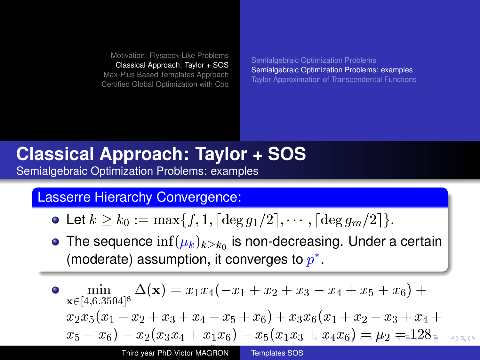[Semialgebraic Optimization Problems](#page-6-0) [Semialgebraic Optimization Problems: examples](#page-8-0) [Taylor Approximation of Transcendental Functions](#page-10-0)

#### **Classical Approach: Taylor + SOS** [Semialgebraic Optimization Problems: examples](#page-8-0)

#### Lasserre Hierarchy Convergence:

- Let  $k \geq k_0 := \max\{f, 1, \lceil \deg g_1/2 \rceil, \cdots, \lceil \deg g_m/2 \rceil\}.$
- The sequence  $\inf(\mu_k)_{k\geq k_0}$  is non-decreasing. Under a certain (moderate) assumption, it converges to  $p^*$ .

$$
\begin{array}{l}\n\bullet \quad \min_{\mathbf{x}\in[4,6.3504]^{6}}\Delta(\mathbf{x}) = x_{1}x_{4}(-x_{1}+x_{2}+x_{3}-x_{4}+x_{5}+x_{6}) + \\
x_{2}x_{5}(x_{1}-x_{2}+x_{3}+x_{4}-x_{5}+x_{6})+x_{3}x_{6}(x_{1}+x_{2}-x_{3}+x_{4}+ \\
x_{5}-x_{6})-x_{2}(x_{3}x_{4}+x_{1}x_{6})-x_{5}(x_{1}x_{3}+x_{4}x_{6}) = \mu_{2} = 128 \\\end{array}
$$
\nFirst year PhD Victor MAGRON

\nTemptates SOS

<span id="page-8-0"></span>j (x), (x)(3)  $\sim$  3504  $\mu$  )(x)(3)  $\mu$  )(x)(3)  $\mu$  )(x)(3) with  $\mu$  )(x)(3)  $\mu$  )(x)(3)  $\mu$  )(x)(3))(3)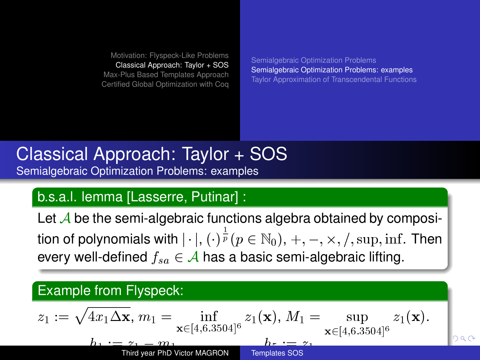[Semialgebraic Optimization Problems](#page-6-0) [Semialgebraic Optimization Problems: examples](#page-8-0) [Taylor Approximation of Transcendental Functions](#page-10-0)

# [Classical Approach: Taylor + SOS](#page-6-0) [Semialgebraic Optimization Problems: examples](#page-8-0)

#### b.s.a.l. lemma [Lasserre, Putinar] :

Let  $\mathcal A$  be the semi-algebraic functions algebra obtained by composition of polynomials with  $|\cdot|$ ,  $(\cdot)^{\frac{1}{p}}(p\in \mathbb{N}_0),$   $+,\, -,\, \times,\, /,$   $\sup,$   $\inf.$  Then every well-defined  $f_{sa} \in \mathcal{A}$  has a basic semi-algebraic lifting.

#### Example from Flyspeck:

$$
z_1 := \sqrt{4x_1 \Delta \mathbf{x}}, m_1 = \inf_{\substack{\mathbf{x} \in [4,6.3504]^6 \\ \text{Third year PhD Victor MAGRON}}} z_1(\mathbf{x}), M_1 = \sup_{\substack{\mathbf{x} \in [4,6.3504]^6 \\ \text{Templates SOS}}} z_1(\mathbf{x}).
$$

<span id="page-9-0"></span>has the contract of the contract of  $\mathcal{M}^{\text{max}}$  and  $\mathcal{M}^{\text{max}}$  and  $\mathcal{M}^{\text{max}}$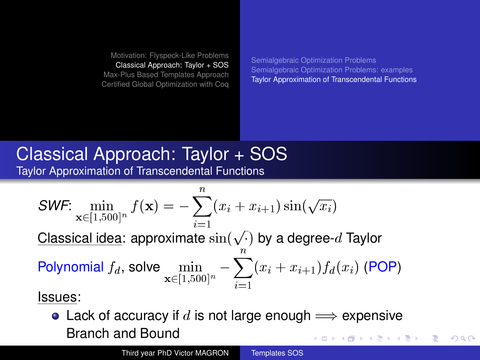[Semialgebraic Optimization Problems](#page-6-0) [Semialgebraic Optimization Problems: examples](#page-8-0) [Taylor Approximation of Transcendental Functions](#page-10-0)

<span id="page-10-0"></span> $QQ$ 

# [Classical Approach: Taylor + SOS](#page-6-0) [Taylor Approximation of Transcendental Functions](#page-10-0)

$$
\mathsf{SWF:} \min_{\mathbf{x} \in [1,500]^n} f(\mathbf{x}) = -\sum_{i=1}^n (x_i + x_{i+1}) \sin(\sqrt{x_i})
$$
\nClassical idea: approximate  $\sin(\sqrt{x})$  by a degree-*d* Taylor

\nPolynomial  $f_d$ , solve  $\min_{\mathbf{x} \in [1,500]^n} -\sum_{i=1}^n (x_i + x_{i+1}) f_d(x_i)$  (POP)

#### Issues:

• Lack of accuracy if d is not large enough  $\Longrightarrow$  expensive Branch and Bound イロト イ押ト イヨト イヨト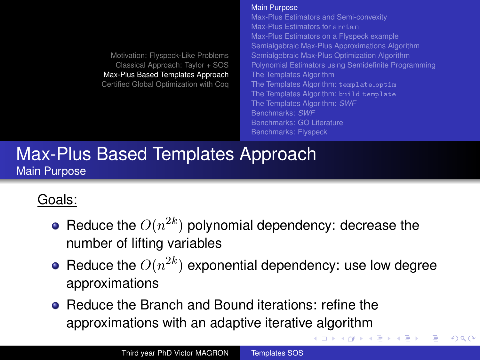#### [Main Purpose](#page-11-0)

[Max-Plus Estimators and Semi-convexity](#page-12-0) [Max-Plus Estimators for](#page-13-0) arctan [Max-Plus Estimators on a Flyspeck example](#page-14-0) [Semialgebraic Max-Plus Approximations Algorithm](#page-15-0) [Semialgebraic Max-Plus Optimization Algorithm](#page-17-0) [Polynomial Estimators using Semidefinite Programming](#page-24-0) [The Templates Algorithm](#page-26-0) [The Templates Algorithm:](#page-27-0) template\_optim [The Templates Algorithm:](#page-28-0) build\_template [The Templates Algorithm:](#page-29-0) *SWF* [Benchmarks:](#page-32-0) *SWF* [Benchmarks: GO Literature](#page-33-0) [Benchmarks: Flyspeck](#page-34-0)

イロト イ押 トイヨ トイヨト

<span id="page-11-0"></span> $\Omega$ 

### [Max-Plus Based Templates Approach](#page-11-0) [Main Purpose](#page-11-0)

# Goals:

- Reduce the  $O(n^{2k})$  polynomial dependency: decrease the number of lifting variables
- Reduce the  $O(n^{2k})$  exponential dependency: use low degree approximations
- **Reduce the Branch and Bound iterations: refine the** approximations with an adaptive iterative algorithm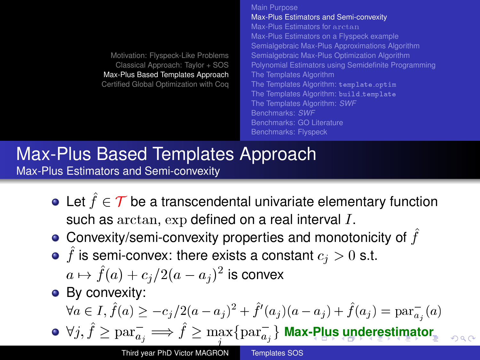|                                        | Main Purpose                                         |
|----------------------------------------|------------------------------------------------------|
|                                        | Max-Plus Estimators and Semi-convexity               |
|                                        | Max-Plus Estimators for anct an                      |
|                                        | Max-Plus Estimators on a Flyspeck example            |
|                                        | Semialgebraic Max-Plus Approximations Algorithm      |
| Motivation: Flyspeck-Like Problems     | Semialgebraic Max-Plus Optimization Algorithm        |
| Classical Approach: Taylor + SOS       | Polynomial Estimators using Semidefinite Programming |
| Max-Plus Based Templates Approach      | The Templates Algorithm                              |
| Certified Global Optimization with Cog | The Templates Algorithm: template_optim              |
|                                        | The Templates Algorithm: build_template              |
|                                        | The Templates Algorithm: SWF                         |
|                                        | Benchmarks: SWF                                      |
|                                        | Benchmarks: GO Literature                            |
|                                        | Benchmarks: Flyspeck                                 |
|                                        |                                                      |

### [Max-Plus Based Templates Approach](#page-11-0) [Max-Plus Estimators and Semi-convexity](#page-12-0)

- Let  $\hat{f} \in \mathcal{T}$  be a transcendental univariate elementary function such as arctan,  $\exp$  defined on a real interval I.
- $\bullet$  Convexity/semi-convexity properties and monotonicity of  $f$
- f is semi-convex: there exists a constant  $c_j > 0$  s.t.
	- $a \mapsto \hat{f}(a) + c_j/2(a a_j )^2$  is convex
- By convexity:

<span id="page-12-0"></span> $\forall a \in I, \hat{f}(a) \geq -c_j/2(a-a_j)^2 + \hat{f}'(a_j)(a-a_j) + \hat{f}(a_j) = \text{par}_{a_j}^-(a)$  $\forall j, \hat{f} \geq \mathrm{par}_{a_j}^-\Longrightarrow \hat{f} \geq \max_j \{\mathrm{par}_{a_j}^-\}$  $\forall j, \hat{f} \geq \mathrm{par}_{a_j}^-\Longrightarrow \hat{f} \geq \max_j \{\mathrm{par}_{a_j}^-\}$  $\forall j, \hat{f} \geq \mathrm{par}_{a_j}^-\Longrightarrow \hat{f} \geq \max_j \{\mathrm{par}_{a_j}^-\}$  $\forall j, \hat{f} \geq \mathrm{par}_{a_j}^-\Longrightarrow \hat{f} \geq \max_j \{\mathrm{par}_{a_j}^-\}$  $\forall j, \hat{f} \geq \mathrm{par}_{a_j}^-\Longrightarrow \hat{f} \geq \max_j \{\mathrm{par}_{a_j}^-\}$  $\forall j, \hat{f} \geq \mathrm{par}_{a_j}^-\Longrightarrow \hat{f} \geq \max_j \{\mathrm{par}_{a_j}^-\}$  $\forall j, \hat{f} \geq \mathrm{par}_{a_j}^-\Longrightarrow \hat{f} \geq \max_j \{\mathrm{par}_{a_j}^-\}$  $\forall j, \hat{f} \geq \mathrm{par}_{a_j}^-\Longrightarrow \hat{f} \geq \max_j \{\mathrm{par}_{a_j}^-\}$  $\forall j, \hat{f} \geq \mathrm{par}_{a_j}^-\Longrightarrow \hat{f} \geq \max_j \{\mathrm{par}_{a_j}^-\}$  $\forall j, \hat{f} \geq \mathrm{par}_{a_j}^-\Longrightarrow \hat{f} \geq \max_j \{\mathrm{par}_{a_j}^-\}$  $\forall j, \hat{f} \geq \mathrm{par}_{a_j}^-\Longrightarrow \hat{f} \geq \max_j \{\mathrm{par}_{a_j}^-\}$  $\forall j, \hat{f} \geq \mathrm{par}_{a_j}^-\Longrightarrow \hat{f} \geq \max_j \{\mathrm{par}_{a_j}^-\}$  Max[-P](#page-11-0)l[us](#page-13-0) [un](#page-12-0)[d](#page-13-0)e[re](#page-12-0)[st](#page-13-0)imat[or](#page-0-0)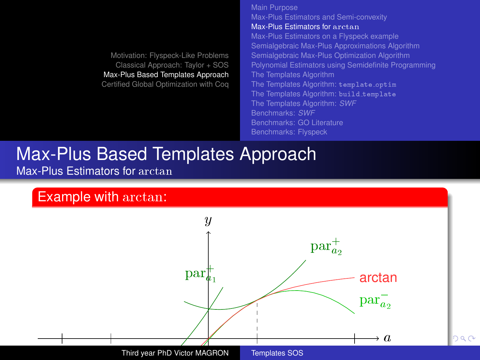<span id="page-13-0"></span>[Main Purpose](#page-11-0) [Max-Plus Estimators and Semi-convexity](#page-12-0) [Max-Plus Estimators for](#page-13-0) arctan [Max-Plus Estimators on a Flyspeck example](#page-14-0) [Semialgebraic Max-Plus Approximations Algorithm](#page-15-0) [Semialgebraic Max-Plus Optimization Algorithm](#page-17-0) [Polynomial Estimators using Semidefinite Programming](#page-24-0) [The Templates Algorithm](#page-26-0) [The Templates Algorithm:](#page-27-0) template\_optim [The Templates Algorithm:](#page-28-0) build template [The Templates Algorithm:](#page-29-0) *SWF* [Benchmarks:](#page-32-0) *SWF* [Benchmarks: GO Literature](#page-33-0)

#### [Max-Plus Based Templates Approach](#page-11-0) [Max-Plus Estimators for](#page-13-0) arctan

#### Example with arctan:

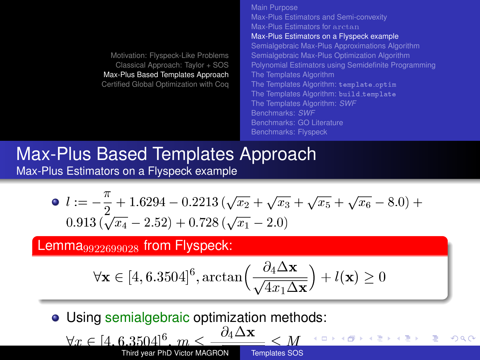[Main Purpose](#page-11-0) [Max-Plus Estimators and Semi-convexity](#page-12-0) [Max-Plus Estimators for](#page-13-0) arctan [Max-Plus Estimators on a Flyspeck example](#page-14-0) [Semialgebraic Max-Plus Approximations Algorithm](#page-15-0) [Semialgebraic Max-Plus Optimization Algorithm](#page-17-0) [Polynomial Estimators using Semidefinite Programming](#page-24-0) [The Templates Algorithm](#page-26-0) [The Templates Algorithm:](#page-27-0) template\_optim [The Templates Algorithm:](#page-28-0) build template [The Templates Algorithm:](#page-29-0) *SWF* [Benchmarks:](#page-32-0) *SWF* [Benchmarks: GO Literature](#page-33-0) [Benchmarks: Flyspeck](#page-34-0)

#### [Max-Plus Based Templates Approach](#page-11-0) [Max-Plus Estimators on a Flyspeck example](#page-14-0)

$$
l := -\frac{\pi}{2} + 1.6294 - 0.2213(\sqrt{x_2} + \sqrt{x_3} + \sqrt{x_5} + \sqrt{x_6} - 8.0) + 0.913(\sqrt{x_4} - 2.52) + 0.728(\sqrt{x_1} - 2.0)
$$

#### Lemma $9922699028$  from Flyspeck:

<span id="page-14-0"></span>
$$
\forall \mathbf{x} \in [4, 6.3504]^6, \arctan\left(\frac{\partial_4 \Delta \mathbf{x}}{\sqrt{4x_1 \Delta \mathbf{x}}}\right) + l(\mathbf{x}) \ge 0
$$

**• Using semialgebraic optimization methods:** 

8x 2 [4; 6:3504]<sup>6</sup> ; m @4x p 4x1x M Third year PhD Victor MAGRON [Templates SOS](#page-0-0)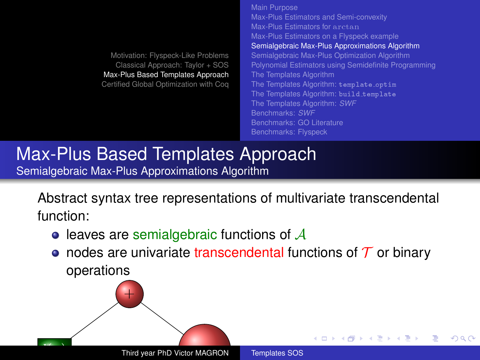[Motivation: Flyspeck-Like Problems](#page-1-0) [Classical Approach: Taylor + SOS](#page-6-0) [Max-Plus Based Templates Approach](#page-11-0) [Certified Global Optimization with Coq](#page-35-0) [Main Purpose](#page-11-0) [Max-Plus Estimators and Semi-convexity](#page-12-0) [Max-Plus Estimators for](#page-13-0) arctan [Max-Plus Estimators on a Flyspeck example](#page-14-0) [Semialgebraic Max-Plus Approximations Algorithm](#page-15-0) [Semialgebraic Max-Plus Optimization Algorithm](#page-17-0) [Polynomial Estimators using Semidefinite Programming](#page-24-0) [The Templates Algorithm](#page-26-0) [The Templates Algorithm:](#page-27-0) template\_optim [The Templates Algorithm:](#page-28-0) build template [The Templates Algorithm:](#page-29-0) *SWF* [Benchmarks:](#page-32-0) *SWF* [Benchmarks: GO Literature](#page-33-0) [Benchmarks: Flyspeck](#page-34-0)

**K ロ ト K 何 ト K ヨ ト K** 

<span id="page-15-0"></span> $\Omega$ 

#### [Max-Plus Based Templates Approach](#page-11-0) [Semialgebraic Max-Plus Approximations Algorithm](#page-15-0)

Abstract syntax tree representations of multivariate transcendental function:

- $\bullet$  leaves are semialgebraic functions of  $\mathcal A$
- nodes are univariate transcendental functions of  $\mathcal T$  or binary operations

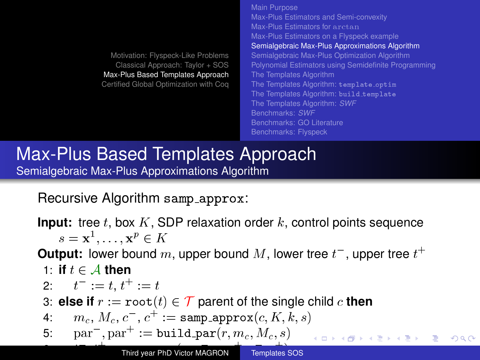[Motivation: Flyspeck-Like Problems](#page-1-0) [Classical Approach: Taylor + SOS](#page-6-0) [Max-Plus Based Templates Approach](#page-11-0) [Certified Global Optimization with Coq](#page-35-0) [Main Purpose](#page-11-0) [Max-Plus Estimators and Semi-convexity](#page-12-0) [Max-Plus Estimators for](#page-13-0) arctan [Max-Plus Estimators on a Flyspeck example](#page-14-0) [Semialgebraic Max-Plus Approximations Algorithm](#page-15-0) [Semialgebraic Max-Plus Optimization Algorithm](#page-17-0) [Polynomial Estimators using Semidefinite Programming](#page-24-0) [The Templates Algorithm](#page-26-0) [The Templates Algorithm:](#page-27-0) template\_optim [The Templates Algorithm:](#page-28-0) build template [The Templates Algorithm:](#page-29-0) *SWF* [Benchmarks:](#page-32-0) *SWF* [Benchmarks: GO Literature](#page-33-0) [Benchmarks: Flyspeck](#page-34-0)

### [Max-Plus Based Templates Approach](#page-11-0) [Semialgebraic Max-Plus Approximations Algorithm](#page-15-0)

Recursive Algorithm samp approx:

**Input:** tree t, box  $K$ , SDP relaxation order  $k$ , control points sequence  $s = \mathbf{x}^1, \ldots, \mathbf{x}^p \in K$ 

**Output:** lower bound  $m$ , upper bound  $M$ , lower tree  $t^+$ , upper tree  $t^+$ 

7: **else if** bop := root (t) is a binary operation parent of two children c<sup>1</sup>

イロト イ押 トイヨ トイヨト

<span id="page-16-0"></span> $\Omega$ 

1: if 
$$
t \in A
$$
 then

 $\overline{\phantom{a}}$ 

2: 
$$
t^- := t, t^+ := t
$$

3: **else if**  $r := \text{root}(t) \in \mathcal{T}$  parent of the single child c **then** 

4:  $m_c, M_c, c^-, c^+ := \texttt{samp\_approx}(c, K, k, s)$ 

5: 
$$
par^{-}
$$
,  $par^{+}$  :=  $build\_par(r, m_c, M_c, s)$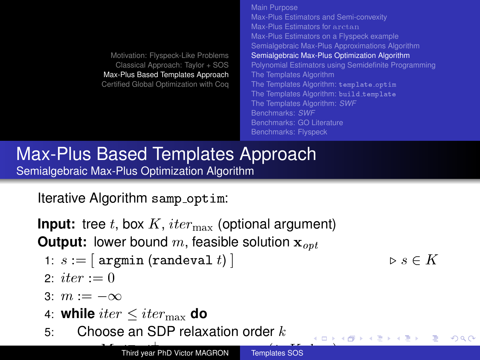[Main Purpose](#page-11-0) [Max-Plus Estimators and Semi-convexity](#page-12-0) [Max-Plus Estimators for](#page-13-0) arctan [Max-Plus Estimators on a Flyspeck example](#page-14-0) [Semialgebraic Max-Plus Approximations Algorithm](#page-15-0) [Semialgebraic Max-Plus Optimization Algorithm](#page-17-0) [Polynomial Estimators using Semidefinite Programming](#page-24-0) [The Templates Algorithm](#page-26-0) [The Templates Algorithm:](#page-27-0) template\_optim [The Templates Algorithm:](#page-28-0) build\_template [The Templates Algorithm:](#page-29-0) *SWF* [Benchmarks:](#page-32-0) *SWF* [Benchmarks: GO Literature](#page-33-0) [Benchmarks: Flyspeck](#page-34-0)

) . The contract of the contract of the contract of the contract of the contract of the contract of the contract of the contract of the contract of the contract of the contract of the contract of the contract of the contr

[Max-Plus Based Templates Approach](#page-11-0) [Semialgebraic Max-Plus Optimization Algorithm](#page-17-0)

Iterative Algorithm samp optim:

**Input:** tree t, box  $K$ ,  $iter_{\text{max}}$  (optional argument) **Output:** lower bound  $m$ , feasible solution  $\mathbf{x}_{\text{opt}}$ 

- 1:  $s := |$  argmin (randeval t)  $\vert$  .  $s \in K$ 
	-

<span id="page-17-0"></span> $\Omega$ 

- 2: *iter* := 0
- 3:  $m := -\infty$
- 4: **while**  $iter \leq iter_{\text{max}}$  **do**
- 5: Choose an SDP relaxation order  $k$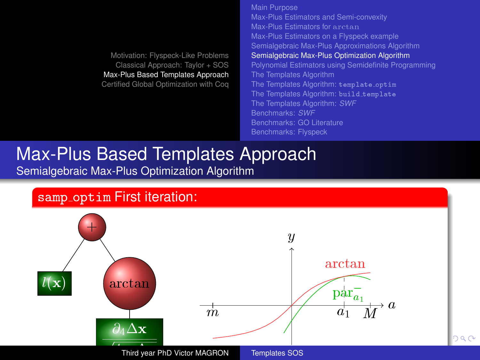[Main Purpose](#page-11-0) [Max-Plus Estimators and Semi-convexity](#page-12-0) [Max-Plus Estimators for](#page-13-0) arctan [Max-Plus Estimators on a Flyspeck example](#page-14-0) [Semialgebraic Max-Plus Approximations Algorithm](#page-15-0) [Semialgebraic Max-Plus Optimization Algorithm](#page-17-0) [Polynomial Estimators using Semidefinite Programming](#page-24-0) [The Templates Algorithm](#page-26-0) [The Templates Algorithm:](#page-27-0) template\_optim [The Templates Algorithm:](#page-28-0) build template [The Templates Algorithm:](#page-29-0) *SWF* [Benchmarks:](#page-32-0) *SWF* [Benchmarks: GO Literature](#page-33-0)

### [Max-Plus Based Templates Approach](#page-11-0) [Semialgebraic Max-Plus Optimization Algorithm](#page-17-0)



<span id="page-18-0"></span>Third year PhD Victor MAGRON [Templates SOS](#page-0-0)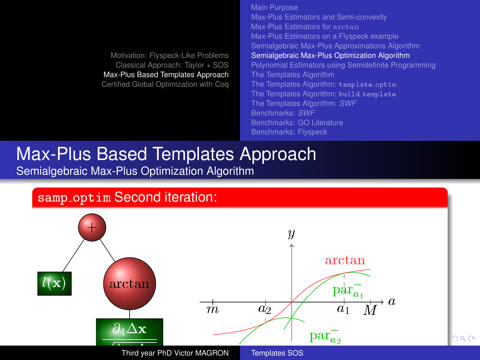<span id="page-19-0"></span>[Main Purpose](#page-11-0) [Max-Plus Estimators and Semi-convexity](#page-12-0) [Max-Plus Estimators for](#page-13-0) arctan [Max-Plus Estimators on a Flyspeck example](#page-14-0) [Semialgebraic Max-Plus Approximations Algorithm](#page-15-0) [Semialgebraic Max-Plus Optimization Algorithm](#page-17-0) [Polynomial Estimators using Semidefinite Programming](#page-24-0) [The Templates Algorithm](#page-26-0) [The Templates Algorithm:](#page-27-0) template\_optim [The Templates Algorithm:](#page-28-0) build template [The Templates Algorithm:](#page-29-0) *SWF* [Benchmarks:](#page-32-0) *SWF* [Benchmarks: GO Literature](#page-33-0) [Benchmarks: Flyspeck](#page-34-0)

### [Max-Plus Based Templates Approach](#page-11-0) [Semialgebraic Max-Plus Optimization Algorithm](#page-17-0)

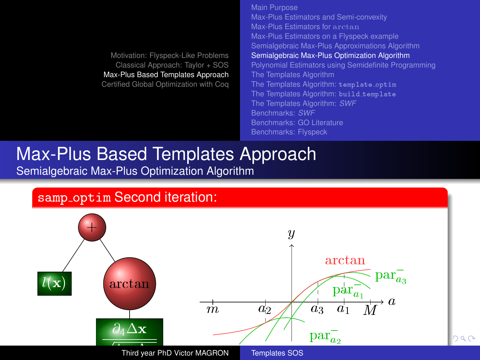<span id="page-20-0"></span>[Main Purpose](#page-11-0) [Max-Plus Estimators and Semi-convexity](#page-12-0) [Max-Plus Estimators for](#page-13-0) arctan [Max-Plus Estimators on a Flyspeck example](#page-14-0) [Semialgebraic Max-Plus Approximations Algorithm](#page-15-0) [Semialgebraic Max-Plus Optimization Algorithm](#page-17-0) [Polynomial Estimators using Semidefinite Programming](#page-24-0) [The Templates Algorithm](#page-26-0) [The Templates Algorithm:](#page-27-0) template\_optim [The Templates Algorithm:](#page-28-0) build template [The Templates Algorithm:](#page-29-0) *SWF* [Benchmarks:](#page-32-0) *SWF* [Benchmarks: GO Literature](#page-33-0) [Benchmarks: Flyspeck](#page-34-0)

### [Max-Plus Based Templates Approach](#page-11-0) [Semialgebraic Max-Plus Optimization Algorithm](#page-17-0)

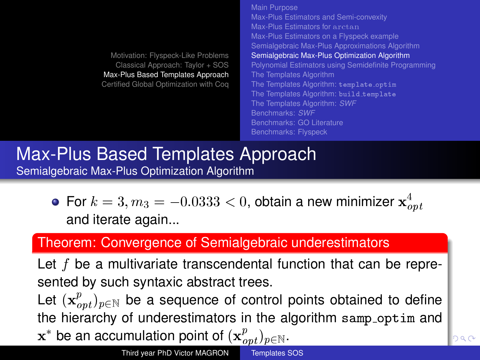[Motivation: Flyspeck-Like Problems](#page-1-0) [Classical Approach: Taylor + SOS](#page-6-0) [Max-Plus Based Templates Approach](#page-11-0) [Certified Global Optimization with Coq](#page-35-0) [Max-Plus Estimators and Semi-convexity](#page-12-0) [Max-Plus Estimators for](#page-13-0) arctan [Max-Plus Estimators on a Flyspeck example](#page-14-0) [Semialgebraic Max-Plus Approximations Algorithm](#page-15-0) [Semialgebraic Max-Plus Optimization Algorithm](#page-17-0) [Polynomial Estimators using Semidefinite Programming](#page-24-0) [The Templates Algorithm](#page-26-0) [The Templates Algorithm:](#page-27-0) template\_optim [The Templates Algorithm:](#page-28-0) build\_template [The Templates Algorithm:](#page-29-0) *SWF* [Benchmarks:](#page-32-0) *SWF* [Benchmarks: GO Literature](#page-33-0) [Benchmarks: Flyspeck](#page-34-0)

[Main Purpose](#page-11-0)

### [Max-Plus Based Templates Approach](#page-11-0) [Semialgebraic Max-Plus Optimization Algorithm](#page-17-0)

For  $k=3, m_3=-0.0333 < 0,$  obtain a new minimizer  $\mathbf{x}_{opt}^4$ and iterate again...

## Theorem: Convergence of Semialgebraic underestimators

Let  $f$  be a multivariate transcendental function that can be represented by such syntaxic abstract trees. Let  $(\mathbf{x}_{opt}^p)_{p \in \mathbb{N}}$  be a sequence of control points obtained to define

the hierarchy of underestimators in the algorithm samp optim and

<span id="page-21-0"></span> $\mathbf{x}^*$  be an accumulation point of  $(\mathbf{x}_{opt}^p)_{p\in \mathbb{N}}.$ ٦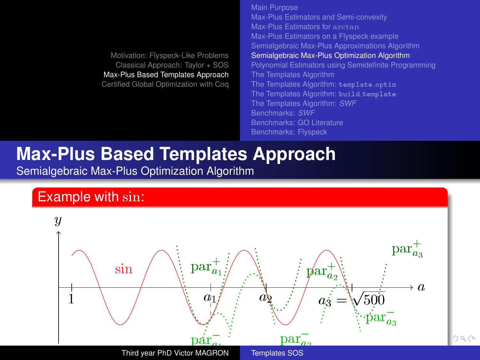<span id="page-22-0"></span>[Main Purpose](#page-11-0) [Max-Plus Estimators and Semi-convexity](#page-12-0) [Max-Plus Estimators for](#page-13-0) arctan [Max-Plus Estimators on a Flyspeck example](#page-14-0) [Semialgebraic Max-Plus Approximations Algorithm](#page-15-0) [Semialgebraic Max-Plus Optimization Algorithm](#page-17-0) [Polynomial Estimators using Semidefinite Programming](#page-24-0) [The Templates Algorithm](#page-26-0) [The Templates Algorithm:](#page-27-0) template\_optim [The Templates Algorithm:](#page-28-0) build template [The Templates Algorithm:](#page-29-0) *SWF* [Benchmarks:](#page-32-0) *SWF* [Benchmarks: GO Literature](#page-33-0) [Benchmarks: Flyspeck](#page-34-0)

# **Max-Plus Based Templates Approach**

[Semialgebraic Max-Plus Optimization Algorithm](#page-17-0)

#### Example with sin:

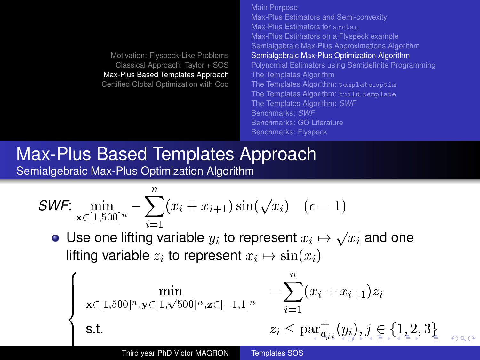[Main Purpose](#page-11-0) [Max-Plus Estimators and Semi-convexity](#page-12-0) [Max-Plus Estimators for](#page-13-0) arctan [Max-Plus Estimators on a Flyspeck example](#page-14-0) [Semialgebraic Max-Plus Approximations Algorithm](#page-15-0) [Semialgebraic Max-Plus Optimization Algorithm](#page-17-0) [Polynomial Estimators using Semidefinite Programming](#page-24-0) [The Templates Algorithm](#page-26-0) [The Templates Algorithm:](#page-27-0) template\_optim [The Templates Algorithm:](#page-28-0) build template [The Templates Algorithm:](#page-29-0) *SWF* [Benchmarks:](#page-32-0) *SWF* [Benchmarks: GO Literature](#page-33-0) [Benchmarks: Flyspeck](#page-34-0)

#### [Max-Plus Based Templates Approach](#page-11-0) [Semialgebraic Max-Plus Optimization Algorithm](#page-17-0)

**SWF:** 
$$
\min_{\mathbf{x} \in [1,500]^n} - \sum_{i=1}^n (x_i + x_{i+1}) \sin(\sqrt{x_i}) \quad (\epsilon = 1)
$$

Use one lifting variable  $y_i$  to represent  $x_i\mapsto \sqrt{x_i}$  and one lifting variable  $z_i$  to represent  $x_i \mapsto \sin(x_i)$ 

<span id="page-23-0"></span>
$$
\left\{\begin{array}{ll}\displaystyle\min_{\mathbf{x}\in[1,500]^n,\mathbf{y}\in[1,\sqrt{500}]^n,\mathbf{z}\in[-1,1]^n} &-\displaystyle\sum_{i=1}^n(x_i+x_{i+1})z_i\\\text{s.t.} &z_i\leq\text{par}^+_{\leftarrow}(y_i),j\in\{1,2,3\}\end{array}\right.
$$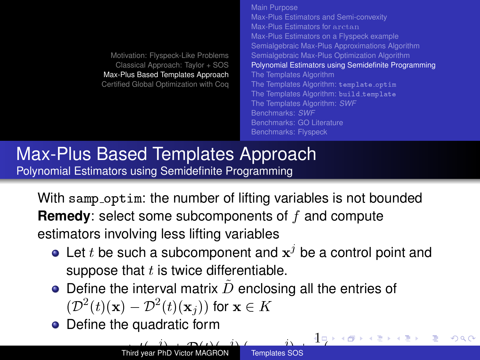[Motivation: Flyspeck-Like Problems](#page-1-0) [Classical Approach: Taylor + SOS](#page-6-0) [Max-Plus Based Templates Approach](#page-11-0) [Certified Global Optimization with Coq](#page-35-0) [Main Purpose](#page-11-0) [Max-Plus Estimators and Semi-convexity](#page-12-0) [Max-Plus Estimators for](#page-13-0) arctan [Max-Plus Estimators on a Flyspeck example](#page-14-0) [Semialgebraic Max-Plus Approximations Algorithm](#page-15-0) [Semialgebraic Max-Plus Optimization Algorithm](#page-17-0) [Polynomial Estimators using Semidefinite Programming](#page-24-0) [The Templates Algorithm](#page-26-0) [The Templates Algorithm:](#page-27-0) template\_optim [The Templates Algorithm:](#page-28-0) build template [The Templates Algorithm:](#page-29-0) *SWF* [Benchmarks:](#page-32-0) *SWF* [Benchmarks: GO Literature](#page-33-0) [Benchmarks: Flyspeck](#page-34-0)

[Max-Plus Based Templates Approach](#page-11-0) [Polynomial Estimators using Semidefinite Programming](#page-24-0)

With samp\_optim: the number of lifting variables is not bounded **Remedy:** select some subcomponents of f and compute estimators involving less lifting variables

- Let t be such a subcomponent and  $\mathbf{x}^j$  be a control point and suppose that  $t$  is twice differentiable.
- $\bullet$  Define the interval matrix  $\ddot{D}$  enclosing all the entries of  $(\mathcal{D}^2(t)(\mathbf{x}) - \mathcal{D}^2(t)(\mathbf{x}_j))$  for  $\mathbf{x} \in K$
- Define the quadratic form

 $\sqrt{2}$ 

<span id="page-24-0"></span> $\Omega$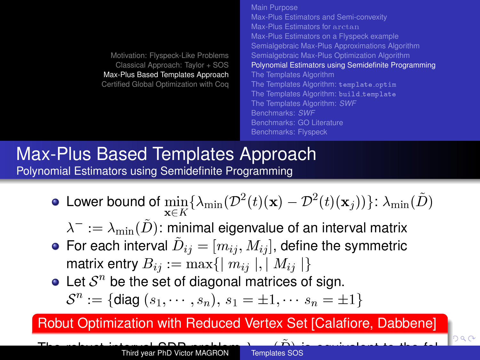[Motivation: Flyspeck-Like Problems](#page-1-0) [Classical Approach: Taylor + SOS](#page-6-0) [Max-Plus Based Templates Approach](#page-11-0) [Certified Global Optimization with Coq](#page-35-0) [Max-Plus Estimators for](#page-13-0) arctan [Max-Plus Estimators on a Flyspeck example](#page-14-0) [Semialgebraic Max-Plus Approximations Algorithm](#page-15-0) [Semialgebraic Max-Plus Optimization Algorithm](#page-17-0) [Polynomial Estimators using Semidefinite Programming](#page-24-0) [The Templates Algorithm](#page-26-0) [The Templates Algorithm:](#page-27-0) template\_optim [The Templates Algorithm:](#page-28-0) build\_template [The Templates Algorithm:](#page-29-0) *SWF* [Benchmarks:](#page-32-0) *SWF* [Benchmarks: GO Literature](#page-33-0)

[Main Purpose](#page-11-0)

[Benchmarks: Flyspeck](#page-34-0)

[Max-Plus Estimators and Semi-convexity](#page-12-0)

#### [Max-Plus Based Templates Approach](#page-11-0) [Polynomial Estimators using Semidefinite Programming](#page-24-0)

- Lower bound of  $\displaystyle \min_{\mathbf{x} \in K} \{\lambda_{\min}(\mathcal{D}^2(t)(\mathbf{x}) \mathcal{D}^2(t)(\mathbf{x}_j))\} \colon \lambda_{\min}(\tilde{D})$ 
	- $\lambda^-:=\lambda_{\min}(\tilde{D})$ : minimal eigenvalue of an interval matrix
- For each interval  $\tilde{D}_{ij}=[m_{ij},M_{ij}]$ , define the symmetric matrix entry  $B_{ij} := \max\{||m_{ij}||, ||M_{ij}||\}$
- Let  $S<sup>n</sup>$  be the set of diagonal matrices of sign.  $S^n := \{ \text{diag}(s_1, \cdots, s_n), \, s_1 = \pm 1, \cdots, s_n = \pm 1 \}$

Robut Optimization with Reduced Vertex Set [Calafiore, Dabbene]

The robust [i](#page-24-0)nter[val](#page-25-0) ODP probl[e](#page-35-0)m $\widetilde{D}$  $\widetilde{D}$  $\widetilde{D}$  i[s e](#page-24-0)[qu](#page-26-0)ivale[n](#page-23-0)t [t](#page-25-0)[o](#page-26-0) t[h](#page-34-0)e [fo](#page-0-0)l-<br>Third year PhD Victor MAGRON lowing Semidefinite Program (SDP) in the single variable t 2 R: Third year PhD Victor MAGRON [Templates SOS](#page-0-0)

<span id="page-25-0"></span>าฉ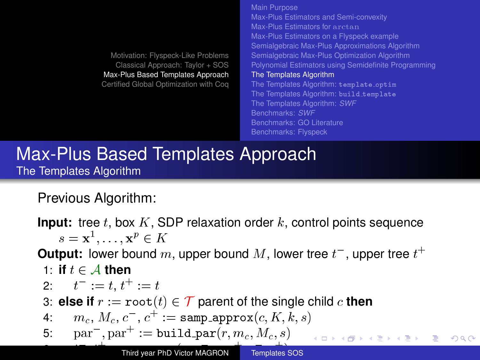[Main Purpose](#page-11-0) [Max-Plus Estimators and Semi-convexity](#page-12-0) [Max-Plus Estimators for](#page-13-0) arctan [Max-Plus Estimators on a Flyspeck example](#page-14-0) [Semialgebraic Max-Plus Approximations Algorithm](#page-15-0) [Semialgebraic Max-Plus Optimization Algorithm](#page-17-0) [Polynomial Estimators using Semidefinite Programming](#page-24-0) [The Templates Algorithm](#page-26-0) [The Templates Algorithm:](#page-27-0) template\_optim [The Templates Algorithm:](#page-28-0) build template [The Templates Algorithm:](#page-29-0) *SWF* [Benchmarks:](#page-32-0) *SWF* [Benchmarks: GO Literature](#page-33-0) [Benchmarks: Flyspeck](#page-34-0)

<span id="page-26-0"></span> $\Omega$ 

### [Max-Plus Based Templates Approach](#page-11-0) [The Templates Algorithm](#page-26-0)

Previous Algorithm:

**Input:** tree t, box  $K$ , SDP relaxation order  $k$ , control points sequence  $s = \mathbf{x}^1, \ldots, \mathbf{x}^p \in K$ 

**Output:** lower bound  $m$ , upper bound  $M$ , lower tree  $t^+$ , upper tree  $t^+$ 

7: **else if** bop := root (t) is a binary operation parent of two children c<sup>1</sup>

1: if 
$$
t \in A
$$
 then

 $\overline{\phantom{a}}$ 

2: 
$$
t^- := t, t^+ := t
$$

3: **else if**  $r := \text{root}(t) \in \mathcal{T}$  parent of the single child c **then** 

4:  $m_c, M_c, c^-, c^+ := \texttt{samp\_approx}(c, K, k, s)$ 

5: 
$$
par^{-}
$$
,  $par^{+}$  :=  $build\_par(r, m_c, M_c, s)$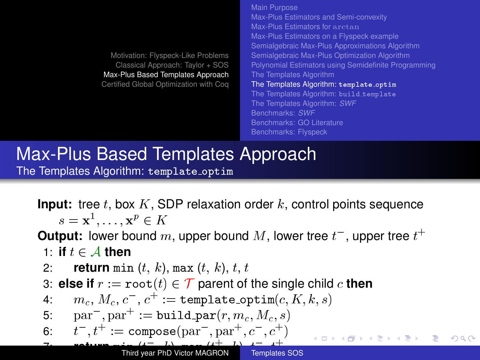[Motivation: Flyspeck-Like Problems](#page-1-0) [Classical Approach: Taylor + SOS](#page-6-0) [Max-Plus Based Templates Approach](#page-11-0) [Certified Global Optimization with Coq](#page-35-0) [Main Purpose](#page-11-0) [Max-Plus Estimators and Semi-convexity](#page-12-0) [Max-Plus Estimators for](#page-13-0) arctan [Max-Plus Estimators on a Flyspeck example](#page-14-0) [Semialgebraic Max-Plus Approximations Algorithm](#page-15-0) [Semialgebraic Max-Plus Optimization Algorithm](#page-17-0) [Polynomial Estimators using Semidefinite Programming](#page-24-0) [The Templates Algorithm](#page-26-0) [The Templates Algorithm:](#page-27-0) template\_optim [The Templates Algorithm:](#page-28-0) build\_template [The Templates Algorithm:](#page-29-0) *SWF* [Benchmarks:](#page-32-0) *SWF* [Benchmarks: GO Literature](#page-33-0) [Benchmarks: Flyspeck](#page-34-0)

#### [Max-Plus Based Templates Approach](#page-11-0) [The Templates Algorithm:](#page-27-0) template\_optim

**Input:** tree t, box  $K$ , SDP relaxation order  $k$ , control points sequence  $s = \mathbf{x}^1, \ldots, \mathbf{x}^p \in K$ 

**Output:** lower bound  $m$ , upper bound  $M$ , lower tree  $t^+$ , upper tree  $t^+$ 1: **if**  $t \in A$  **then** 

2: return min 
$$
(t, k)
$$
, max  $(t, k)$ ,  $t, t$ 

3: **else if**  $r := \text{root}(t) \in \mathcal{T}$  parent of the single child c **then** 

4: 
$$
m_c, M_c, c^-, c^+ := \text{template-optim}(c, K, k, s)
$$

5: 
$$
par^{-}
$$
,  $par^{+}$  :=  $build\_par(r, m_c, M_c, s)$ 

6: 
$$
t^-, t^+ := \text{compose}(\text{par}^-, \text{par}^+, c^-, c^+)
$$

<span id="page-27-0"></span>つのい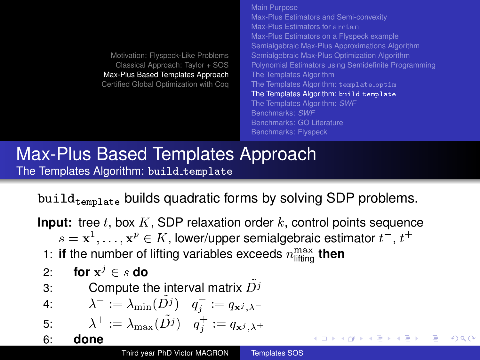[Motivation: Flyspeck-Like Problems](#page-1-0) [Classical Approach: Taylor + SOS](#page-6-0) [Max-Plus Based Templates Approach](#page-11-0) [Certified Global Optimization with Coq](#page-35-0) [Main Purpose](#page-11-0) [Max-Plus Estimators and Semi-convexity](#page-12-0) [Max-Plus Estimators for](#page-13-0) arctan [Max-Plus Estimators on a Flyspeck example](#page-14-0) [Semialgebraic Max-Plus Approximations Algorithm](#page-15-0) [Semialgebraic Max-Plus Optimization Algorithm](#page-17-0) [Polynomial Estimators using Semidefinite Programming](#page-24-0) [The Templates Algorithm](#page-26-0) [The Templates Algorithm:](#page-27-0) template\_optim [The Templates Algorithm:](#page-28-0) build\_template [The Templates Algorithm:](#page-29-0) *SWF* [Benchmarks:](#page-32-0) *SWF* [Benchmarks: GO Literature](#page-33-0) [Benchmarks: Flyspeck](#page-34-0)

<span id="page-28-0"></span> $QQQ$ 

## [Max-Plus Based Templates Approach](#page-11-0) [The Templates Algorithm:](#page-28-0) build\_template

 $build_{\text{template}}$  builds quadratic forms by solving SDP problems.

**Input:** tree t, box  $K$ , SDP relaxation order  $k$ , control points sequence  $s = \mathbf{x}^1, \dots, \mathbf{x}^p \in K$ , lower/upper semialgebraic estimator  $t^-,$   $t^+$ 1: **if** the number of lifting variables exceeds  $n_{\text{lifting}}^{\text{max}}$  then 2: **for**  $x^j \in s$  do 3: Compute the interval matrix  $D<sup>j</sup>$ 3: Compute the interval matrix  $D^j$ <br>4:  $\lambda^- := \lambda_{\min}(\tilde{D}^j) \quad q^-_j := q_{\mathbf{x}^j, \lambda^-}$ 5:  $\lambda^+ := \lambda_{\max}(\tilde{D}^j) \quad q_j^+ := q_{\mathbf{x}^j, \lambda^+}$ 6: **done** イロト イ押ト イヨト イヨト Third year PhD Victor MAGRON [Templates SOS](#page-0-0)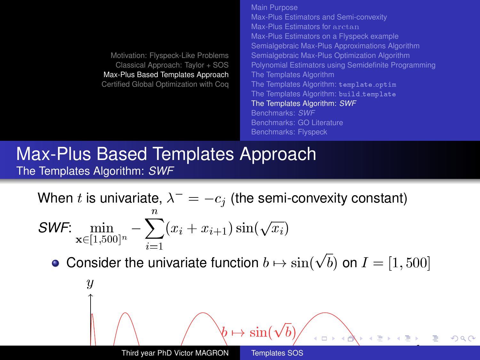[Motivation: Flyspeck-Like Problems](#page-1-0) [Classical Approach: Taylor + SOS](#page-6-0) [Max-Plus Based Templates Approach](#page-11-0) [Certified Global Optimization with Coq](#page-35-0) [Main Purpose](#page-11-0) [Max-Plus Estimators and Semi-convexity](#page-12-0) [Max-Plus Estimators for](#page-13-0) arctan [Max-Plus Estimators on a Flyspeck example](#page-14-0) [Semialgebraic Max-Plus Approximations Algorithm](#page-15-0) [Semialgebraic Max-Plus Optimization Algorithm](#page-17-0) [Polynomial Estimators using Semidefinite Programming](#page-24-0) [The Templates Algorithm](#page-26-0) [The Templates Algorithm:](#page-27-0) template\_optim [The Templates Algorithm:](#page-28-0) build template [The Templates Algorithm:](#page-29-0) *SWF* [Benchmarks:](#page-32-0) *SWF* [Benchmarks: GO Literature](#page-33-0) [Benchmarks: Flyspeck](#page-34-0)

#### [Max-Plus Based Templates Approach](#page-11-0) [The Templates Algorithm:](#page-29-0) *SWF*

When  $t$  is univariate,  $\lambda^+ = -c_j$  (the semi-convexity constant)

$$
\textit{SWF}: \min_{\mathbf{x} \in [1,500]^n} - \sum_{i=1}^n (x_i + x_{i+1}) \sin(\sqrt{x_i})
$$

Consider the univariate function  $b \mapsto \sin(\sqrt{b})$  on  $I = [1, 500]$ 

<span id="page-29-0"></span>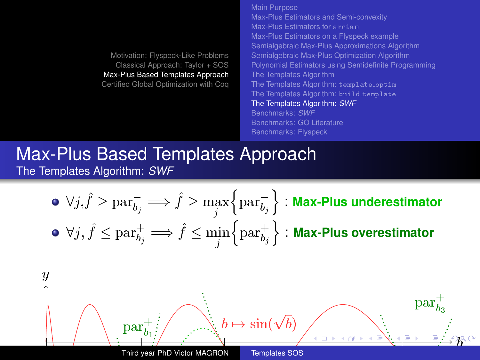<span id="page-30-0"></span>[Main Purpose](#page-11-0) [Max-Plus Estimators and Semi-convexity](#page-12-0) [Max-Plus Estimators for](#page-13-0) arctan [Max-Plus Estimators on a Flyspeck example](#page-14-0) [Semialgebraic Max-Plus Approximations Algorithm](#page-15-0) [Semialgebraic Max-Plus Optimization Algorithm](#page-17-0) [Polynomial Estimators using Semidefinite Programming](#page-24-0) [The Templates Algorithm](#page-26-0) [The Templates Algorithm:](#page-27-0) template\_optim [The Templates Algorithm:](#page-28-0) build template [The Templates Algorithm:](#page-29-0) *SWF* [Benchmarks:](#page-32-0) *SWF* [Benchmarks: GO Literature](#page-33-0)

#### [Max-Plus Based Templates Approach](#page-11-0) [The Templates Algorithm:](#page-29-0) *SWF*

\n- \n
$$
\forall j, \hat{f} \geq \text{par}_{b_j}^- \Longrightarrow \hat{f} \geq \max_j \left\{ \text{par}_{b_j}^- \right\} : \text{Max-Plus underestimator}
$$
\n
\n- \n $\forall j, \hat{f} \leq \text{par}_{b_j}^+ \Longrightarrow \hat{f} \leq \min_j \left\{ \text{par}_{b_j}^+ \right\} : \text{Max-Plus overestimator}$ \n
\n

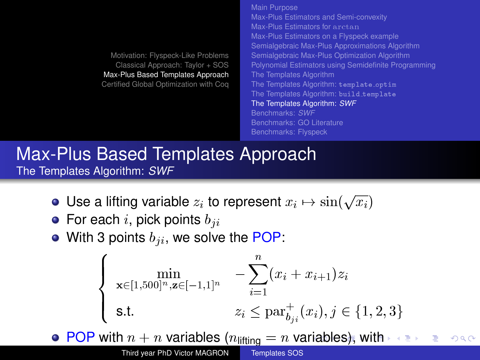[Main Purpose](#page-11-0) [Max-Plus Estimators and Semi-convexity](#page-12-0) [Max-Plus Estimators for](#page-13-0) arctan [Max-Plus Estimators on a Flyspeck example](#page-14-0) [Semialgebraic Max-Plus Approximations Algorithm](#page-15-0) [Semialgebraic Max-Plus Optimization Algorithm](#page-17-0) [Polynomial Estimators using Semidefinite Programming](#page-24-0) [The Templates Algorithm](#page-26-0) [The Templates Algorithm:](#page-27-0) template\_optim [The Templates Algorithm:](#page-28-0) build\_template [The Templates Algorithm:](#page-29-0) *SWF* [Benchmarks:](#page-32-0) *SWF* [Benchmarks: GO Literature](#page-33-0) [Benchmarks: Flyspeck](#page-34-0)

[Max-Plus Based Templates Approach](#page-11-0) [The Templates Algorithm:](#page-29-0) *SWF*

- Use a lifting variable  $z_i$  to represent  $x_i \mapsto \sin(\sqrt{x_i})$
- $\bullet\,$  For each  $i,$  pick points  $b_{\,ii}$
- With 3 points  $b_{ii}$ , we solve the POP:

$$
\begin{cases}\n\min_{\mathbf{x}\in[1,500]^n,\mathbf{z}\in[-1,1]^n} & -\sum_{i=1}^n (x_i + x_{i+1})z_i \\
\text{s.t.} & z_i \le \text{par}_{b_{ji}}^+(x_i), j \in \{1,2,3\}\n\end{cases}
$$

• POP [w](#page-32-0)[i](#page-28-0)[t](#page-29-0)[h](#page-31-0)  $n + n$  va[ria](#page-30-0)[ble](#page-32-0)[s](#page-30-0) ( $n_{\text{lifting}} = n$  variables[\),](#page-31-0) with  $\Omega$ 

Third year PhD Victor MAGRON Templates SOS

<span id="page-31-0"></span>**Templates SOS**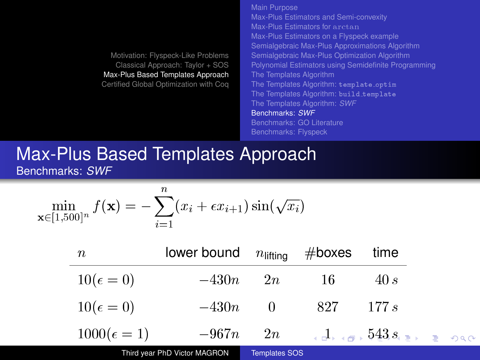[Main Purpose](#page-11-0) [Max-Plus Estimators and Semi-convexity](#page-12-0) [Max-Plus Estimators for](#page-13-0) arctan [Max-Plus Estimators on a Flyspeck example](#page-14-0) [Semialgebraic Max-Plus Approximations Algorithm](#page-15-0) [Semialgebraic Max-Plus Optimization Algorithm](#page-17-0) [Polynomial Estimators using Semidefinite Programming](#page-24-0) [The Templates Algorithm](#page-26-0) [The Templates Algorithm:](#page-27-0) template\_optim [The Templates Algorithm:](#page-28-0) build\_template [The Templates Algorithm:](#page-29-0) *SWF* [Benchmarks:](#page-32-0) *SWF* [Benchmarks: GO Literature](#page-33-0) [Benchmarks: Flyspeck](#page-34-0)

#### [Max-Plus Based Templates Approach](#page-11-0) [Benchmarks:](#page-32-0) *SWF*

$$
\min_{\mathbf{x}\in[1,500]^n}f(\mathbf{x})=-\sum_{i=1}^n(x_i+\epsilon x_{i+1})\sin(\sqrt{x_i})
$$

| $\boldsymbol{n}$   | lower bound $n_{\text{lifting}}$ |                      | $#$ boxes | time                                                                                                   |  |
|--------------------|----------------------------------|----------------------|-----------|--------------------------------------------------------------------------------------------------------|--|
| $10(\epsilon=0)$   | $-430n$                          | 2n                   | -16       | 40 s                                                                                                   |  |
| $10(\epsilon=0)$   | $-430n$                          | -0                   | -827      | 177s                                                                                                   |  |
| $1000(\epsilon=1)$ | $-967n$ 2n                       |                      |           | $\overline{A}$ , $\overline{A}$ , $\overline{543}$ , $\overline{2}$ , $\overline{2}$ or $\overline{2}$ |  |
|                    | Third year PhD Victor MAGRON     | <b>Templates SOS</b> |           |                                                                                                        |  |

<span id="page-32-0"></span> $100 \text{ year}$  1 1  $\text{F}$  victor mean lots are remplated over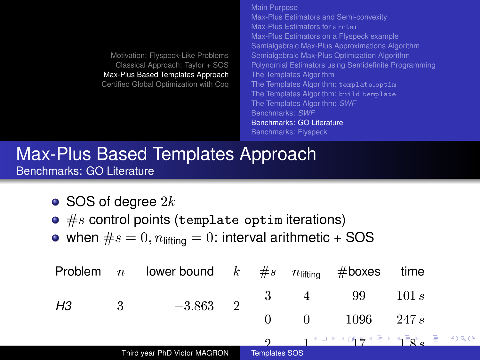[Main Purpose](#page-11-0) [Max-Plus Estimators and Semi-convexity](#page-12-0) [Max-Plus Estimators for](#page-13-0) arctan [Max-Plus Estimators on a Flyspeck example](#page-14-0) [Semialgebraic Max-Plus Approximations Algorithm](#page-15-0) [Semialgebraic Max-Plus Optimization Algorithm](#page-17-0) [Polynomial Estimators using Semidefinite Programming](#page-24-0) [The Templates Algorithm](#page-26-0) [The Templates Algorithm:](#page-27-0) template\_optim [The Templates Algorithm:](#page-28-0) build template [The Templates Algorithm:](#page-29-0) *SWF* [Benchmarks:](#page-32-0) *SWF* [Benchmarks: GO Literature](#page-33-0) [Benchmarks: Flyspeck](#page-34-0)

<span id="page-33-0"></span> $Q \cap R$ 

#### [Max-Plus Based Templates Approach](#page-11-0) [Benchmarks: GO Literature](#page-33-0)

- SOS of degree  $2k$
- $\bullet\;\#s$  control points (template\_optim iterations)
- when  $\#s = 0$ ,  $n_{\text{lifting}} = 0$ : interval arithmetic + SOS

| Problem | $\boldsymbol{n}$ | lower bound $k$ #s           |                |                      | $n$ liftina | $#$ boxes                                                                                                                                                                                                                   | time  |         |
|---------|------------------|------------------------------|----------------|----------------------|-------------|-----------------------------------------------------------------------------------------------------------------------------------------------------------------------------------------------------------------------------|-------|---------|
| H3      | 3                | $-3.863$                     | $\overline{2}$ | 3                    |             | 99                                                                                                                                                                                                                          | 101s  |         |
|         |                  |                              |                |                      |             | -1096                                                                                                                                                                                                                       | 247 s |         |
|         |                  |                              |                |                      |             | ੍ਰਾਸ਼ਾ ਅਸੀਂ ਮਾਰੀ ਅਵਾਨੇ ਵਿੱਚ ਸ਼ਹਿਰ ਸ਼ਹਿਰ ਸ਼ਹਿਰ ਸ਼ਹਿਰ ਸ਼ਹਿਰ ਸ਼ਹਿਰ ਸ਼ਹਿਰ ਸ਼ਹਿਰ ਸ਼ਹਿਰ ਸ਼ਹਿਰ ਸ਼ਹਿਰ ਸ਼ਹਿਰ ਸ਼ਹਿਰ ਸ਼ਹਿਰ ਸ਼ਹਿਰ ਸ਼ਹਿਰ ਸ਼ਹਿਰ ਸ਼ਹਿਰ ਸ਼ਹਿਰ ਸ਼ਹਿਰ ਸ਼ਹਿਰ ਸ਼ਹਿਰ ਸ਼ਹਿਰ ਸ਼ਹਿਰ ਸ਼ਹਿਰ ਸ਼ਹਿਰ ਸ਼ਹਿਰ ਸ਼ਹਿਰ ਸ਼ਹਿਰ ਸ਼ਹਿਰ ਸ਼ਹਿਰ ਸ਼ਹਿਰ |       | $\odot$ |
|         |                  | Third year PhD Victor MAGRON |                | <b>Templates SOS</b> |             |                                                                                                                                                                                                                             |       |         |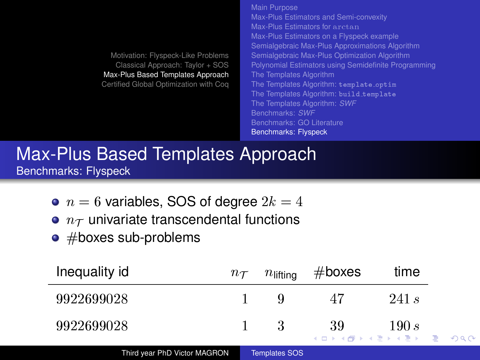|                                      | Main Purpose                                         |
|--------------------------------------|------------------------------------------------------|
|                                      | Max-Plus Estimators and Semi-convexity               |
|                                      | Max-Plus Estimators for anct an                      |
|                                      | Max-Plus Estimators on a Flyspeck example            |
|                                      | Semialgebraic Max-Plus Approximations Algorithm      |
| Motivation: Flyspeck-Like Problems   | Semialgebraic Max-Plus Optimization Algorithm        |
| Classical Approach: Taylor + SOS     | Polynomial Estimators using Semidefinite Programming |
| ax-Plus Based Templates Approach     | The Templates Algorithm                              |
| rtified Global Optimization with Cog | The Templates Algorithm: template_optim              |
|                                      | The Templates Algorithm: build_template              |
|                                      | The Templates Algorithm: SWF                         |
|                                      | Benchmarks: SWF                                      |
|                                      | Benchmarks: GO Literature                            |
|                                      | <b>Benchmarks: Flyspeck</b>                          |
|                                      |                                                      |

#### [Max-Plus Based Templates Approach](#page-11-0) [Benchmarks: Flyspeck](#page-34-0)

- $n = 6$  variables, SOS of degree  $2k = 4$
- $\bullet$   $n_{\mathcal{T}}$  univariate transcendental functions
- $\bullet$  #boxes sub-problems

<span id="page-34-0"></span>ż.

Max-Plu **Certified** 

| Inequality id | $n_{\mathcal{T}}$ | $n_{\text{lifting}}$ | $#$ boxes                                   | time  |  |
|---------------|-------------------|----------------------|---------------------------------------------|-------|--|
| 9922699028    |                   |                      | 47                                          | 241 s |  |
| 9922699028    |                   |                      | 39<br>K □ ▶ K @ ▶ K 로 ▶ K 로 ▶ _ 로 _ K 9 Q @ | 190s  |  |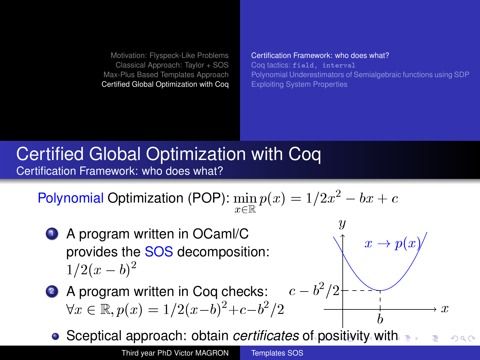[Certification Framework: who does what?](#page-35-0) Coq tactics: [field, interval](#page-36-0) [Polynomial Underestimators of Semialgebraic functions using SDP](#page-37-0) [Exploiting System Properties](#page-40-0)

 $\overline{y}$ 

 $x \to p(x)$ 

<span id="page-35-0"></span>b

# [Certified Global Optimization with Coq](#page-35-0) [Certification Framework: who does what?](#page-35-0)

Polynomial Optimization (POP):  $\min\limits_{x\in\mathbb{R}}p(x)=1/2x^2-bx+c$ 

- **1** A program written in OCaml/C provides the SOS decomposition:  $1/2(x-b)^2$
- 2 A program written in Coq checks:  $\forall x \in \mathbb{R}, p(x) = 1/2(x-b)^2+c-b^2$  $\sqrt{2}$   $\longrightarrow x$  $c-b^2/2$ 
	- Sceptical approach: obtain *certificates* [of p](#page-34-0)[os](#page-36-0)[it](#page-34-0)[ivi](#page-35-0)[t](#page-36-0)[y](#page-34-0) [wi](#page-35-0)[t](#page-36-0)[h](#page-34-0)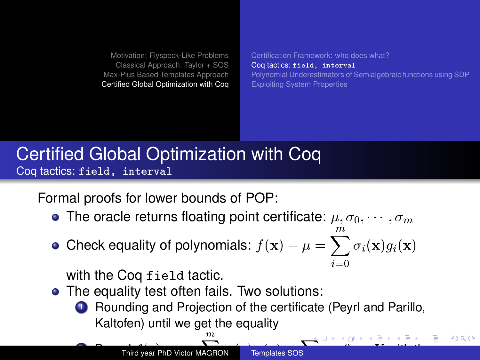[Certification Framework: who does what?](#page-35-0) Coq tactics: [field, interval](#page-36-0) [Polynomial Underestimators of Semialgebraic functions using SDP](#page-37-0) [Exploiting System Properties](#page-40-0)

# [Certified Global Optimization with Coq](#page-35-0) Coq tactics: [field, interval](#page-36-0)

Formal proofs for lower bounds of POP:

• The oracle returns floating point certificate:  $\mu, \sigma_0, \cdots, \sigma_m$ 

Check equality of polynomials:  $f(\mathbf{x}) - \mu = \sum_{i=1}^{m} \sigma_i(\mathbf{x}) g_i(\mathbf{x})$  $i=0$ 

with the Coq field tactic.

- The equality test often fails. Two solutions:
	- **1** Rounding and Projection of the certificate (Peyrl and Parillo, Kaltofen) until we get the equality

 $\mathbb{R}^n$ 

<span id="page-36-0"></span>[o](#page-37-0)[n](#page-35-0) [K](#page-36-0) [w](#page-37-0)[i](#page-34-0)[th](#page-35-0) [th](#page-41-0)[e](#page-0-0)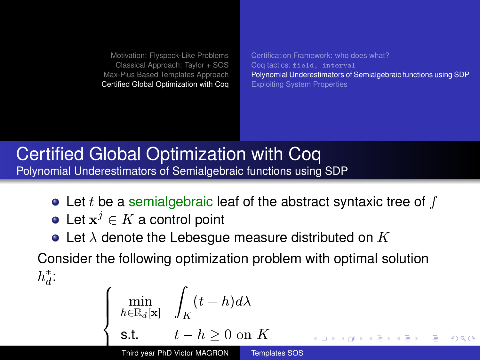[Certification Framework: who does what?](#page-35-0) Coq tactics: [field, interval](#page-36-0) [Polynomial Underestimators of Semialgebraic functions using SDP](#page-37-0) [Exploiting System Properties](#page-40-0)

# [Certified Global Optimization with Coq](#page-35-0) [Polynomial Underestimators of Semialgebraic functions using SDP](#page-37-0)

- $\bullet$  Let t be a semialgebraic leaf of the abstract syntaxic tree of f
- Let  $\mathbf{x}^j \in K$  a control point
- Let  $\lambda$  denote the Lebesgue measure distributed on K

Consider the following optimization problem with optimal solution  $h_d^*$ :

$$
\left\{\begin{array}{ll}\displaystyle\min_{h\in\mathbb{R}_d[\mathbf{x}]}\quad \int_K(t-h)d\lambda\\[10pt] \text{s.t.} \qquad t-h\geq 0 \text{ on } K\\[10pt] \text{Third year PhD Victor MAGRON}\qquad \text{Templates SOS}\end{array}\right. \Longleftrightarrow \text{ for all }k\geq 1, \text{ and }k\geq k\geq k\geq 2.
$$

<span id="page-37-0"></span>Templates SOS  $\sim$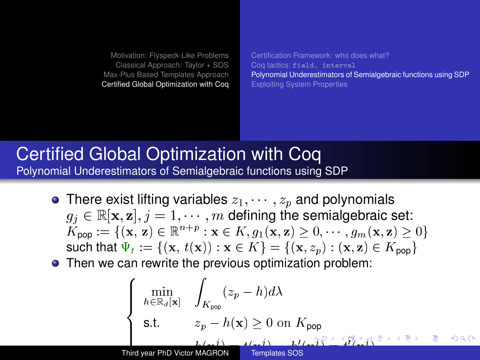[Certification Framework: who does what?](#page-35-0) Coq tactics: [field, interval](#page-36-0) [Polynomial Underestimators of Semialgebraic functions using SDP](#page-37-0) [Exploiting System Properties](#page-40-0)

### [Certified Global Optimization with Coq](#page-35-0) [Polynomial Underestimators of Semialgebraic functions using SDP](#page-37-0)

- There exist lifting variables  $z_1, \dots, z_p$  and polynomials  $g_j \in \mathbb{R}[\mathbf{x}, \mathbf{z}], j = 1, \cdots, m$  defining the semialgebraic set:  $K_{\mathsf{pop}} := \{(\mathbf{x}, \, \mathbf{z}) \in \mathbb{R}^{n+p} : \mathbf{x} \in K, g_1(\mathbf{x}, \mathbf{z}) \geq 0, \qquad, g_m(\mathbf{x}, \mathbf{z}) \geq 0\}$ such that  $\Psi_t := \{(\mathbf{x}, t(\mathbf{x})) : \mathbf{x} \in K\} = \{(\mathbf{x}, z_p) : (\mathbf{x}, \mathbf{z}) \in K_{\text{pop}}\}$
- Then we can rewrite the previous optimization problem:

<span id="page-38-0"></span>
$$
\begin{cases}\n\min_{h \in \mathbb{R}_d[\mathbf{x}]} & \int_{K_{\mathsf{pop}}} (z_p - h) d\lambda \\
\text{s.t.} & z_p - h(\mathbf{x}) \ge 0 \text{ on } K_{\mathsf{pop}} \\
\text{s.t.} & \sum_{h \le i, j} \sum_{h \le i, j} (z_i - j)^{-1} \le \sum_{h \le i, j} (z_i - j)^{-1} \ge \sum_{h \le i, j} (z_i - j)^{-1} \ge \sum_{h \le i, j} (z_i - j)^{-1} \ge \sum_{h \le i, j} (z_i - j)^{-1} \ge \sum_{h \le i, j} (z_i - j)^{-1} \ge \sum_{h \le i, j} (z_i - j)^{-1} \ge \sum_{h \le i, j} (z_i - j)^{-1} \ge \sum_{h \le i, j} (z_i - j)^{-1} \ge \sum_{h \le i, j} (z_i - j)^{-1} \ge \sum_{h \le i, j} (z_i - j)^{-1} \ge \sum_{h \le i, j} (z_i - j)^{-1} \ge \sum_{h \le i, j} (z_i - j)^{-1} \ge \sum_{h \le i, j} (z_i - j)^{-1} \ge \sum_{h \le i, j} (z_i - j)^{-1} \ge \sum_{h \le i, j} (z_i - j)^{-1} \ge \sum_{h \le i, j} (z_i - j)^{-1} \ge \sum_{h \le i, j} (z_i - j)^{-1} \ge \sum_{h \le i, j} (z_i - j)^{-1} \ge \sum_{h \le i, j} (z_i - j)^{-1} \ge \sum_{h \le i, j} (z_i - j)^{-1} \ge \sum_{h \le i, j} (z_i - j)^{-1} \ge \sum_{h \le i, j} (z_i - j)^{-1} \ge \sum_{h \le i, j} (z_i - j)^{-1} \ge \sum_{h \le i, j} (z_i - j)^{-1} \ge \sum_{h \le i, j} (z_i - j)^{-1} \ge \sum_{h \le i, j} (z_i - j)^{-1} \ge \sum_{h \le i, j} (z_i - j)^{-1} \ge \sum_{h \le i, j} (z_i - j)^{-1} \ge \sum_{h \le i, j} (z_i - j)^{-1} \ge \sum_{h \le i, j} (z_i - j)^{-1} \ge \sum_{h \le i, j} (
$$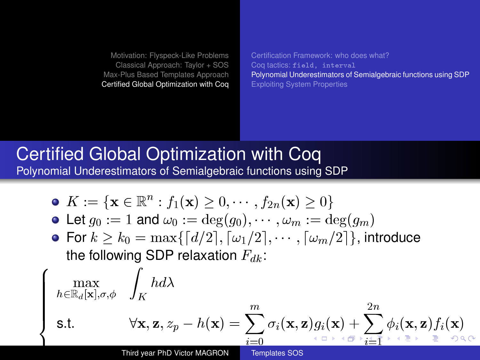<span id="page-39-0"></span>[Certification Framework: who does what?](#page-35-0) Coq tactics: [field, interval](#page-36-0) [Polynomial Underestimators of Semialgebraic functions using SDP](#page-37-0) [Exploiting System Properties](#page-40-0)

### [Certified Global Optimization with Coq](#page-35-0) [Polynomial Underestimators of Semialgebraic functions using SDP](#page-37-0)

$$
\bullet \ \ K:=\{\mathbf{x}\in\mathbb{R}^n:f_1(\mathbf{x})\geq 0,\cdots,f_{2n}(\mathbf{x})\geq 0\}
$$

• Let 
$$
g_0 := 1
$$
 and  $\omega_0 := \deg(g_0), \cdots, \omega_m := \deg(g_m)$ 

• For  $k \geq k_0 = \max\{d/2\}, \lceil \omega_1/2\rceil, \cdots, \lceil \omega_m/2\rceil\}$ , introduce the following SDP relaxation  $F_{dk}$ :

$$
\begin{cases}\n\max_{h \in \mathbb{R}_d[\mathbf{x}], \sigma, \phi} & \int_K h \, d\lambda \\
\text{s.t.} & \forall \mathbf{x}, \mathbf{z}, z_p - h(\mathbf{x}) = \sum_{i=0}^m \sigma_i(\mathbf{x}, \mathbf{z}) g_i(\mathbf{x}) + \sum_{i=1}^{2n} \phi_i(\mathbf{x}, \mathbf{z}) f_i(\mathbf{x}) \\
& \text{s.t.} & \forall \mathbf{x}, \mathbf{z}, z_p - h(\mathbf{x}) = \sum_{i=0}^m \sigma_i(\mathbf{x}, \mathbf{z}) g_i(\mathbf{x}) + \sum_{i=1}^{2n} \phi_i(\mathbf{x}, \mathbf{z}) f_i(\mathbf{x})\n\end{cases}
$$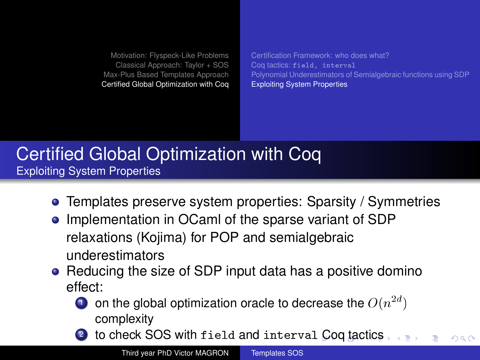<span id="page-40-0"></span>[Certification Framework: who does what?](#page-35-0) Coq tactics: [field, interval](#page-36-0) [Polynomial Underestimators of Semialgebraic functions using SDP](#page-37-0) [Exploiting System Properties](#page-40-0)

# [Certified Global Optimization with Coq](#page-35-0) [Exploiting System Properties](#page-40-0)

- Templates preserve system properties: Sparsity / Symmetries 0
- **•** Implementation in OCaml of the sparse variant of SDP relaxations (Kojima) for POP and semialgebraic underestimators
- Reducing the size of SDP input data has a positive domino effect:
	- $\bullet$  on the global optimization oracle to decrease the  $O(n^{2d})$ complexity
	- to check SOS with field and interv[al](#page-39-0) [Co](#page-41-0)[q](#page-39-0) [ta](#page-40-0)[c](#page-40-0)[ti](#page-39-0)c[s](#page-41-0)  $\Omega$